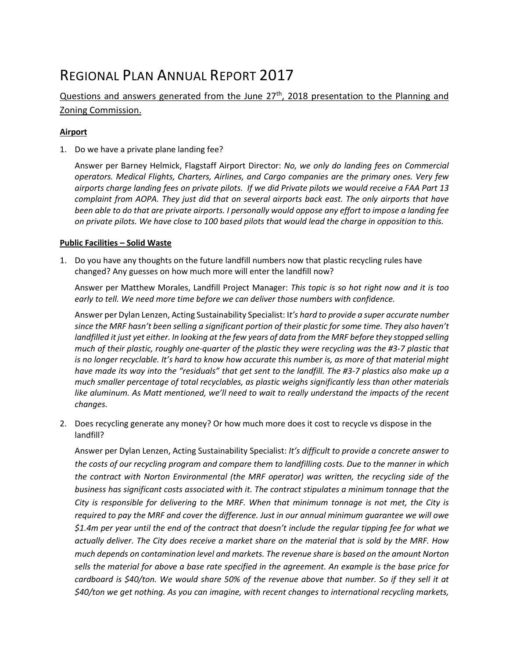# REGIONAL PLAN ANNUAL REPORT 2017

## Questions and answers generated from the June 27<sup>th</sup>, 2018 presentation to the Planning and Zoning Commission.

#### **Airport**

1. Do we have a private plane landing fee?

Answer per Barney Helmick, Flagstaff Airport Director: *No, we only do landing fees on Commercial operators. Medical Flights, Charters, Airlines, and Cargo companies are the primary ones. Very few airports charge landing fees on private pilots. If we did Private pilots we would receive a FAA Part 13 complaint from AOPA. They just did that on several airports back east. The only airports that have been able to do that are private airports. I personally would oppose any effort to impose a landing fee on private pilots. We have close to 100 based pilots that would lead the charge in opposition to this.*

#### **Public Facilities – Solid Waste**

1. Do you have any thoughts on the future landfill numbers now that plastic recycling rules have changed? Any guesses on how much more will enter the landfill now?

Answer per Matthew Morales, Landfill Project Manager: *This topic is so hot right now and it is too early to tell. We need more time before we can deliver those numbers with confidence.*

Answer per Dylan Lenzen, Acting Sustainability Specialist: I*t's hard to provide a super accurate number since the MRF hasn't been selling a significant portion of their plastic for some time. They also haven't*  landfilled it just yet either. In looking at the few years of data from the MRF before they stopped selling *much of their plastic, roughly one-quarter of the plastic they were recycling was the #3-7 plastic that is no longer recyclable. It's hard to know how accurate this number is, as more of that material might have made its way into the "residuals" that get sent to the landfill. The #3-7 plastics also make up a much smaller percentage of total recyclables, as plastic weighs significantly less than other materials*  like aluminum. As Matt mentioned, we'll need to wait to really understand the impacts of the recent *changes.*

2. Does recycling generate any money? Or how much more does it cost to recycle vs dispose in the landfill?

Answer per Dylan Lenzen, Acting Sustainability Specialist: *It's difficult to provide a concrete answer to the costs of our recycling program and compare them to landfilling costs. Due to the manner in which the contract with Norton Environmental (the MRF operator) was written, the recycling side of the business has significant costs associated with it. The contract stipulates a minimum tonnage that the City is responsible for delivering to the MRF. When that minimum tonnage is not met, the City is required to pay the MRF and cover the difference. Just in our annual minimum guarantee we will owe \$1.4m per year until the end of the contract that doesn't include the regular tipping fee for what we actually deliver. The City does receive a market share on the material that is sold by the MRF. How much depends on contamination level and markets. The revenue share is based on the amount Norton sells the material for above a base rate specified in the agreement. An example is the base price for cardboard is \$40/ton. We would share 50% of the revenue above that number. So if they sell it at \$40/ton we get nothing. As you can imagine, with recent changes to international recycling markets,*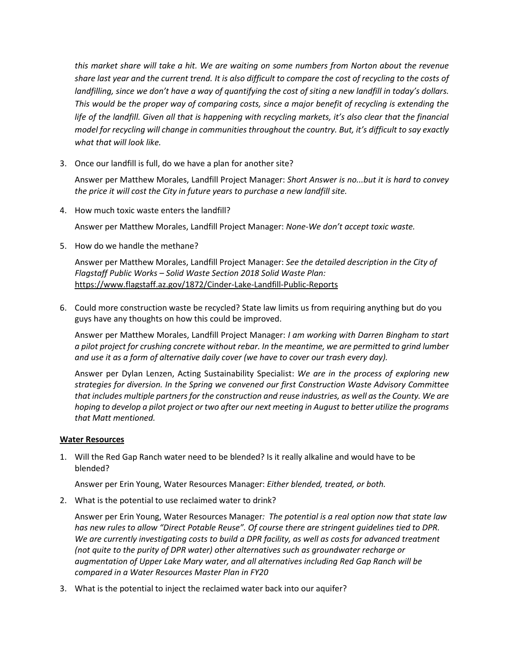*this market share will take a hit. We are waiting on some numbers from Norton about the revenue share last year and the current trend. It is also difficult to compare the cost of recycling to the costs of landfilling, since we don't have a way of quantifying the cost of siting a new landfill in today's dollars. This would be the proper way of comparing costs, since a major benefit of recycling is extending the*  life of the landfill. Given all that is happening with recycling markets, it's also clear that the financial *model for recycling will change in communities throughout the country. But, it's difficult to say exactly what that will look like.*

3. Once our landfill is full, do we have a plan for another site?

Answer per Matthew Morales, Landfill Project Manager: *Short Answer is no...but it is hard to convey the price it will cost the City in future years to purchase a new landfill site.*

4. How much toxic waste enters the landfill?

Answer per Matthew Morales, Landfill Project Manager: *None-We don't accept toxic waste.*

5. How do we handle the methane?

Answer per Matthew Morales, Landfill Project Manager: *See the detailed description in the City of Flagstaff Public Works – Solid Waste Section 2018 Solid Waste Plan:*  <https://www.flagstaff.az.gov/1872/Cinder-Lake-Landfill-Public-Reports>

6. Could more construction waste be recycled? State law limits us from requiring anything but do you guys have any thoughts on how this could be improved.

Answer per Matthew Morales, Landfill Project Manager: *I am working with Darren Bingham to start a pilot project for crushing concrete without rebar. In the meantime, we are permitted to grind lumber and use it as a form of alternative daily cover (we have to cover our trash every day).*

Answer per Dylan Lenzen, Acting Sustainability Specialist: *We are in the process of exploring new strategies for diversion. In the Spring we convened our first Construction Waste Advisory Committee that includes multiple partners for the construction and reuse industries, as well as the County. We are hoping to develop a pilot project or two after our next meeting in August to better utilize the programs that Matt mentioned.*

#### **Water Resources**

1. Will the Red Gap Ranch water need to be blended? Is it really alkaline and would have to be blended?

Answer per Erin Young, Water Resources Manager: *Either blended, treated, or both.*

2. What is the potential to use reclaimed water to drink?

Answer per Erin Young, Water Resources Manager*: The potential is a real option now that state law has new rules to allow "Direct Potable Reuse". Of course there are stringent guidelines tied to DPR. We are currently investigating costs to build a DPR facility, as well as costs for advanced treatment (not quite to the purity of DPR water) other alternatives such as groundwater recharge or augmentation of Upper Lake Mary water, and all alternatives including Red Gap Ranch will be compared in a Water Resources Master Plan in FY20*

3. What is the potential to inject the reclaimed water back into our aquifer?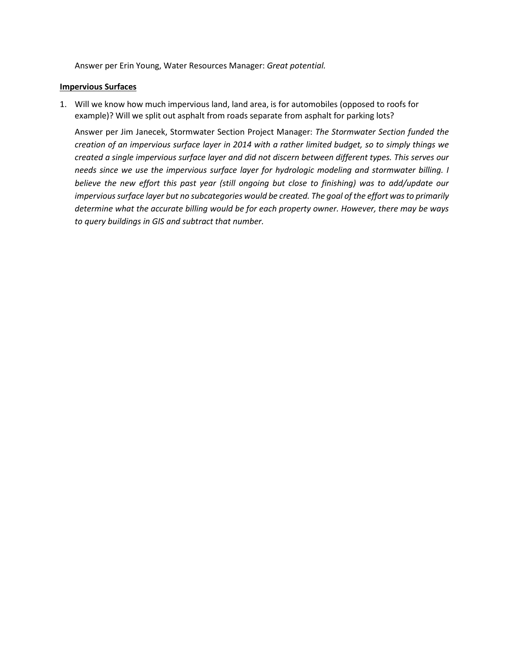Answer per Erin Young, Water Resources Manager: *Great potential.*

#### **Impervious Surfaces**

1. Will we know how much impervious land, land area, is for automobiles (opposed to roofs for example)? Will we split out asphalt from roads separate from asphalt for parking lots?

Answer per Jim Janecek, Stormwater Section Project Manager: *The Stormwater Section funded the creation of an impervious surface layer in 2014 with a rather limited budget, so to simply things we created a single impervious surface layer and did not discern between different types. This serves our needs since we use the impervious surface layer for hydrologic modeling and stormwater billing. I believe the new effort this past year (still ongoing but close to finishing) was to add/update our impervious surface layer but no subcategories would be created. The goal of the effort was to primarily determine what the accurate billing would be for each property owner. However, there may be ways to query buildings in GIS and subtract that number.*